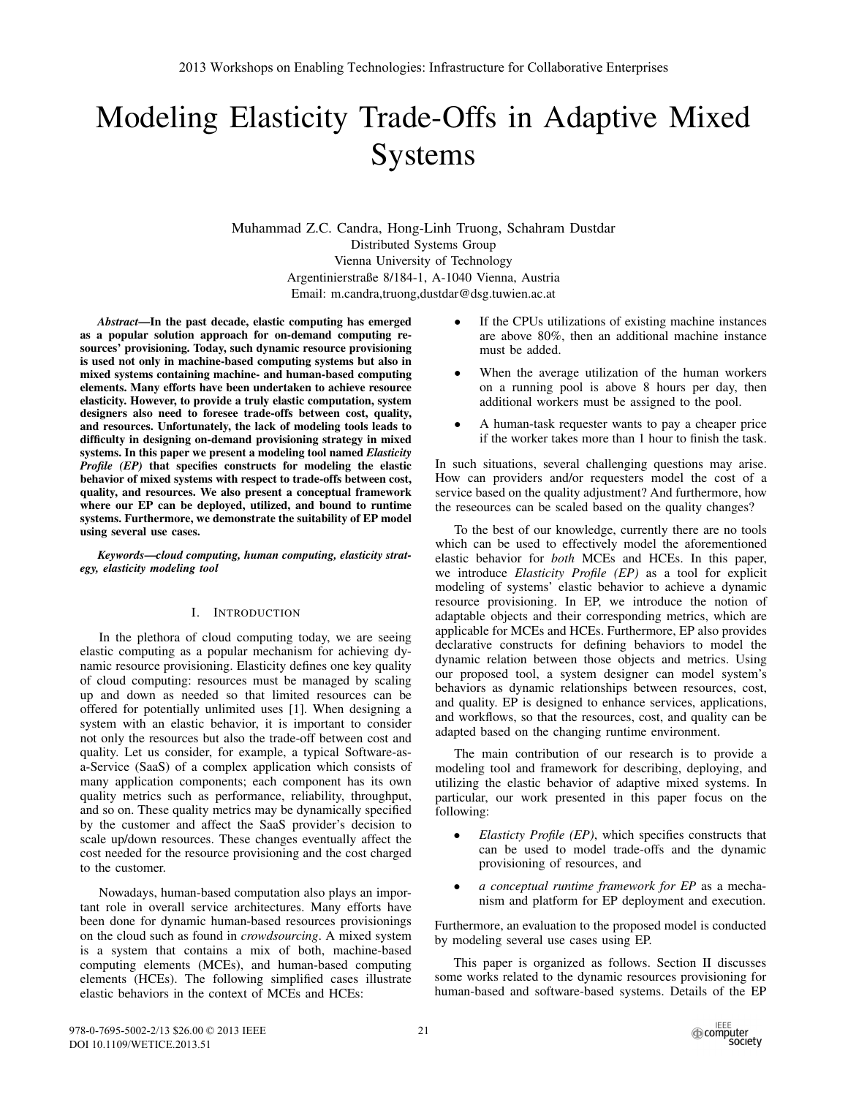# Modeling Elasticity Trade-Offs in Adaptive Mixed Systems

Muhammad Z.C. Candra, Hong-Linh Truong, Schahram Dustdar Distributed Systems Group Vienna University of Technology Argentinierstraße 8/184-1, A-1040 Vienna, Austria Email: m.candra,truong,dustdar@dsg.tuwien.ac.at

*Abstract*—In the past decade, elastic computing has emerged as a popular solution approach for on-demand computing resources' provisioning. Today, such dynamic resource provisioning is used not only in machine-based computing systems but also in mixed systems containing machine- and human-based computing elements. Many efforts have been undertaken to achieve resource elasticity. However, to provide a truly elastic computation, system designers also need to foresee trade-offs between cost, quality, and resources. Unfortunately, the lack of modeling tools leads to difficulty in designing on-demand provisioning strategy in mixed systems. In this paper we present a modeling tool named *Elasticity Profile (EP)* that specifies constructs for modeling the elastic behavior of mixed systems with respect to trade-offs between cost, quality, and resources. We also present a conceptual framework where our EP can be deployed, utilized, and bound to runtime systems. Furthermore, we demonstrate the suitability of EP model using several use cases.

*Keywords*—*cloud computing, human computing, elasticity strategy, elasticity modeling tool*

## I. INTRODUCTION

In the plethora of cloud computing today, we are seeing elastic computing as a popular mechanism for achieving dynamic resource provisioning. Elasticity defines one key quality of cloud computing: resources must be managed by scaling up and down as needed so that limited resources can be offered for potentially unlimited uses [1]. When designing a system with an elastic behavior, it is important to consider not only the resources but also the trade-off between cost and quality. Let us consider, for example, a typical Software-asa-Service (SaaS) of a complex application which consists of many application components; each component has its own quality metrics such as performance, reliability, throughput, and so on. These quality metrics may be dynamically specified by the customer and affect the SaaS provider's decision to scale up/down resources. These changes eventually affect the cost needed for the resource provisioning and the cost charged to the customer.

Nowadays, human-based computation also plays an important role in overall service architectures. Many efforts have been done for dynamic human-based resources provisionings on the cloud such as found in *crowdsourcing*. A mixed system is a system that contains a mix of both, machine-based computing elements (MCEs), and human-based computing elements (HCEs). The following simplified cases illustrate elastic behaviors in the context of MCEs and HCEs:

- If the CPUs utilizations of existing machine instances are above 80%, then an additional machine instance must be added.
- When the average utilization of the human workers on a running pool is above 8 hours per day, then additional workers must be assigned to the pool.
- A human-task requester wants to pay a cheaper price if the worker takes more than 1 hour to finish the task.

In such situations, several challenging questions may arise. How can providers and/or requesters model the cost of a service based on the quality adjustment? And furthermore, how the reseources can be scaled based on the quality changes?

To the best of our knowledge, currently there are no tools which can be used to effectively model the aforementioned elastic behavior for *both* MCEs and HCEs. In this paper, we introduce *Elasticity Profile (EP)* as a tool for explicit modeling of systems' elastic behavior to achieve a dynamic resource provisioning. In EP, we introduce the notion of adaptable objects and their corresponding metrics, which are applicable for MCEs and HCEs. Furthermore, EP also provides declarative constructs for defining behaviors to model the dynamic relation between those objects and metrics. Using our proposed tool, a system designer can model system's behaviors as dynamic relationships between resources, cost, and quality. EP is designed to enhance services, applications, and workflows, so that the resources, cost, and quality can be adapted based on the changing runtime environment.

The main contribution of our research is to provide a modeling tool and framework for describing, deploying, and utilizing the elastic behavior of adaptive mixed systems. In particular, our work presented in this paper focus on the following:

- *Elasticty Profile (EP)*, which specifies constructs that can be used to model trade-offs and the dynamic provisioning of resources, and
- *a conceptual runtime framework for EP* as a mechanism and platform for EP deployment and execution.

Furthermore, an evaluation to the proposed model is conducted by modeling several use cases using EP.

This paper is organized as follows. Section II discusses some works related to the dynamic resources provisioning for human-based and software-based systems. Details of the EP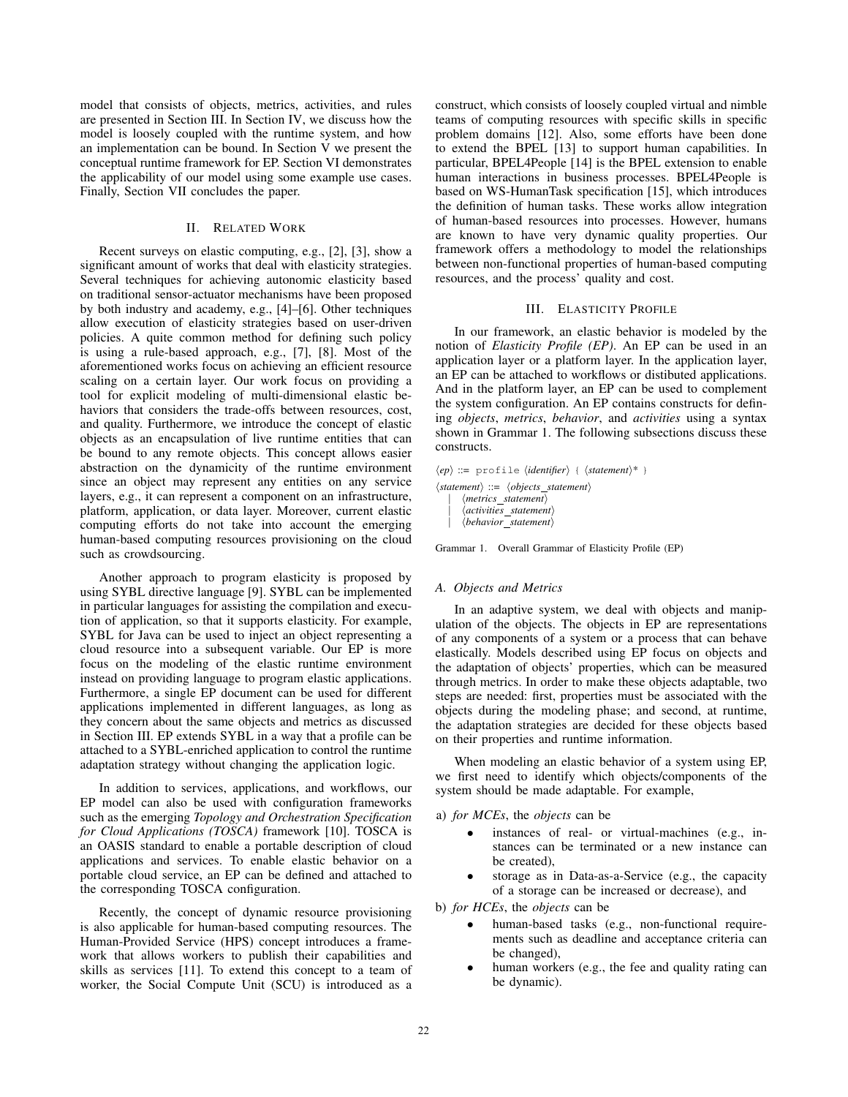model that consists of objects, metrics, activities, and rules are presented in Section III. In Section IV, we discuss how the model is loosely coupled with the runtime system, and how an implementation can be bound. In Section V we present the conceptual runtime framework for EP. Section VI demonstrates the applicability of our model using some example use cases. Finally, Section VII concludes the paper.

## II. RELATED WORK

Recent surveys on elastic computing, e.g., [2], [3], show a significant amount of works that deal with elasticity strategies. Several techniques for achieving autonomic elasticity based on traditional sensor-actuator mechanisms have been proposed by both industry and academy, e.g., [4]–[6]. Other techniques allow execution of elasticity strategies based on user-driven policies. A quite common method for defining such policy is using a rule-based approach, e.g., [7], [8]. Most of the aforementioned works focus on achieving an efficient resource scaling on a certain layer. Our work focus on providing a tool for explicit modeling of multi-dimensional elastic behaviors that considers the trade-offs between resources, cost, and quality. Furthermore, we introduce the concept of elastic objects as an encapsulation of live runtime entities that can be bound to any remote objects. This concept allows easier abstraction on the dynamicity of the runtime environment since an object may represent any entities on any service layers, e.g., it can represent a component on an infrastructure, platform, application, or data layer. Moreover, current elastic computing efforts do not take into account the emerging human-based computing resources provisioning on the cloud such as crowdsourcing.

Another approach to program elasticity is proposed by using SYBL directive language [9]. SYBL can be implemented in particular languages for assisting the compilation and execution of application, so that it supports elasticity. For example, SYBL for Java can be used to inject an object representing a cloud resource into a subsequent variable. Our EP is more focus on the modeling of the elastic runtime environment instead on providing language to program elastic applications. Furthermore, a single EP document can be used for different applications implemented in different languages, as long as they concern about the same objects and metrics as discussed in Section III. EP extends SYBL in a way that a profile can be attached to a SYBL-enriched application to control the runtime adaptation strategy without changing the application logic.

In addition to services, applications, and workflows, our EP model can also be used with configuration frameworks such as the emerging *Topology and Orchestration Specification for Cloud Applications (TOSCA)* framework [10]. TOSCA is an OASIS standard to enable a portable description of cloud applications and services. To enable elastic behavior on a portable cloud service, an EP can be defined and attached to the corresponding TOSCA configuration.

Recently, the concept of dynamic resource provisioning is also applicable for human-based computing resources. The Human-Provided Service (HPS) concept introduces a framework that allows workers to publish their capabilities and skills as services [11]. To extend this concept to a team of worker, the Social Compute Unit (SCU) is introduced as a

construct, which consists of loosely coupled virtual and nimble teams of computing resources with specific skills in specific problem domains [12]. Also, some efforts have been done to extend the BPEL [13] to support human capabilities. In particular, BPEL4People [14] is the BPEL extension to enable human interactions in business processes. BPEL4People is based on WS-HumanTask specification [15], which introduces the definition of human tasks. These works allow integration of human-based resources into processes. However, humans are known to have very dynamic quality properties. Our framework offers a methodology to model the relationships between non-functional properties of human-based computing resources, and the process' quality and cost.

#### III. ELASTICITY PROFILE

In our framework, an elastic behavior is modeled by the notion of *Elasticity Profile (EP)*. An EP can be used in an application layer or a platform layer. In the application layer, an EP can be attached to workflows or distibuted applications. And in the platform layer, an EP can be used to complement the system configuration. An EP contains constructs for defining *objects*, *metrics*, *behavior*, and *activities* using a syntax shown in Grammar 1. The following subsections discuss these constructs.

-*ep* ::= profile -*identifier* { -*statement*\* }  $\langle statement \rangle ::= \langle objects{\_} statement \rangle$ |  $\langle$ *metrics* \_*statement* $\rangle$ | -*activities statement* | -*behavior statement*

Grammar 1. Overall Grammar of Elasticity Profile (EP)

#### *A. Objects and Metrics*

In an adaptive system, we deal with objects and manipulation of the objects. The objects in EP are representations of any components of a system or a process that can behave elastically. Models described using EP focus on objects and the adaptation of objects' properties, which can be measured through metrics. In order to make these objects adaptable, two steps are needed: first, properties must be associated with the objects during the modeling phase; and second, at runtime, the adaptation strategies are decided for these objects based on their properties and runtime information.

When modeling an elastic behavior of a system using EP, we first need to identify which objects/components of the system should be made adaptable. For example,

## a) *for MCEs*, the *objects* can be

- instances of real- or virtual-machines (e.g., instances can be terminated or a new instance can be created),
- storage as in Data-as-a-Service (e.g., the capacity of a storage can be increased or decrease), and

b) *for HCEs*, the *objects* can be

- human-based tasks (e.g., non-functional requirements such as deadline and acceptance criteria can be changed),
- human workers (e.g., the fee and quality rating can be dynamic).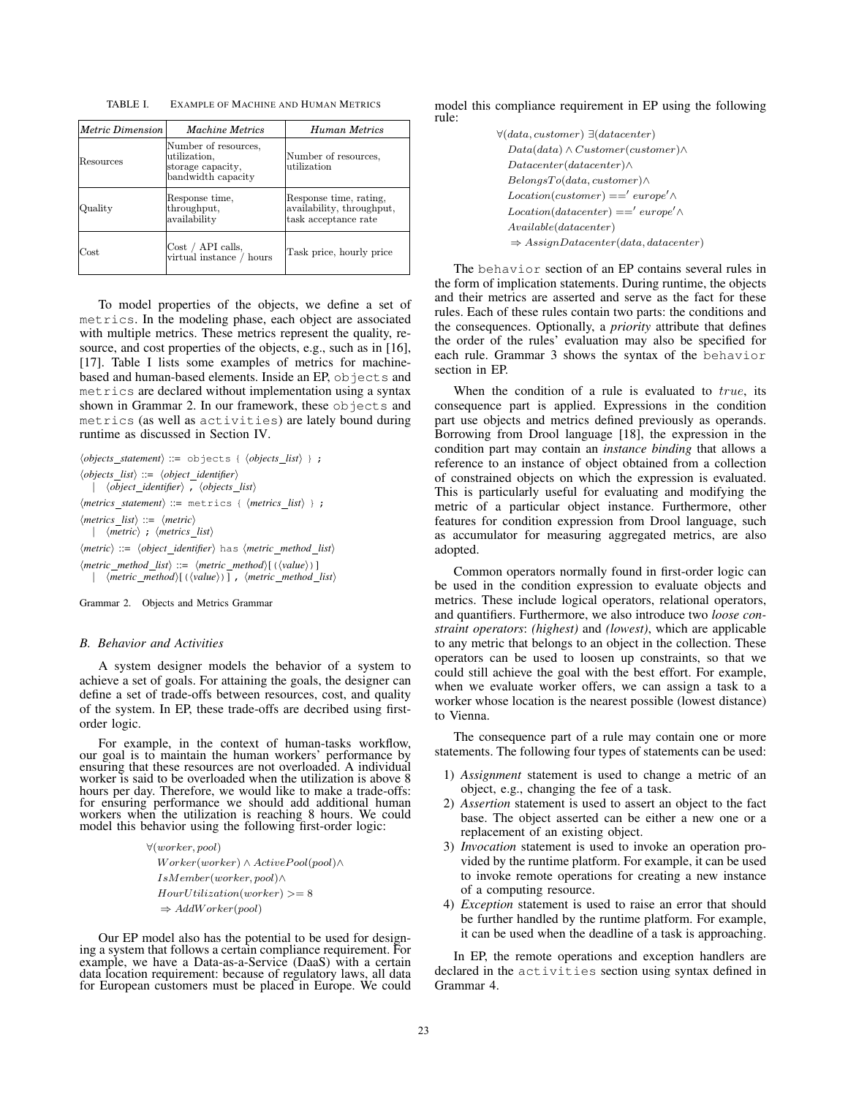TABLE I. EXAMPLE OF MACHINE AND HUMAN METRICS

| Metric Dimension | <i>Machine Metrics</i>                                                          | Human Metrics                                                               |
|------------------|---------------------------------------------------------------------------------|-----------------------------------------------------------------------------|
| Resources        | Number of resources,<br>utilization,<br>storage capacity,<br>bandwidth capacity | Number of resources,<br>utilization                                         |
| Quality          | Response time,<br>throughput,<br>availability                                   | Response time, rating,<br>availability, throughput,<br>task acceptance rate |
| Cost             | Cost / API calls,<br>virtual instance / hours                                   | Task price, hourly price                                                    |

To model properties of the objects, we define a set of metrics. In the modeling phase, each object are associated with multiple metrics. These metrics represent the quality, resource, and cost properties of the objects, e.g., such as in [16], [17]. Table I lists some examples of metrics for machinebased and human-based elements. Inside an EP, objects and metrics are declared without implementation using a syntax shown in Grammar 2. In our framework, these objects and metrics (as well as activities) are lately bound during runtime as discussed in Section IV.

-*objects statement* ::= objects { -*objects list* } ;  $\langle objects\_list \rangle ::= \langle object\_identifier \rangle$ |  $\langle object\_identity \rangle$ ,  $\langle objects\_list \rangle$  $\langle metrics\_statement \rangle ::= metrics \{ \langle metrics\_list \rangle \} ;$  $\langle metrics\_list \rangle ::= \langle metric \rangle$ |  $\langle$ *metric* $\rangle$  ;  $\langle$ *metrics* \_*list* $\rangle$  $\langle metric \rangle ::= \langle object\_identity \rangle$  has  $\langle metric\_method\_list \rangle$  $\langle metric\_method\_list \rangle ::= \langle metric\_method \rangle[ (\langle value \rangle) ]$ |  $\langle metric\_method \rangle [ (\langle value \rangle ) ]$ ,  $\langle metric\_method\_list \rangle$ 

Grammar 2. Objects and Metrics Grammar

#### *B. Behavior and Activities*

A system designer models the behavior of a system to achieve a set of goals. For attaining the goals, the designer can define a set of trade-offs between resources, cost, and quality of the system. In EP, these trade-offs are decribed using firstorder logic.

For example, in the context of human-tasks workflow, our goal is to maintain the human workers' performance by ensuring that these resources are not overloaded. A individual worker is said to be overloaded when the utilization is above 8 hours per day. Therefore, we would like to make a trade-offs: for ensuring performance we should add additional human workers when the utilization is reaching 8 hours. We could model this behavior using the following first-order logic:

```
∀(worker, pool)
 W orker(worker) ∧ ActiveP ool(pool)∧
 IsMember(worker, pool)∧
 HourU tilization(worker) >= 8
  ⇒ AddW orker(pool)
```
Our EP model also has the potential to be used for designing a system that follows a certain compliance requirement. For example, we have a Data-as-a-Service (DaaS) with a certain data location requirement: because of regulatory laws, all data for European customers must be placed in Europe. We could model this compliance requirement in EP using the following rule:

| $\forall (data, customer) \exists (datacenter)$  |  |
|--------------------------------------------------|--|
| $Data(data) \wedge Customer(customer) \wedge$    |  |
| $Datacenter(datacenter) \wedge$                  |  |
| $BelongsTo(data, customer) \wedge$               |  |
| $Location(customer) ==' europe' \wedge$          |  |
| $Location(datacenter) ==' europe' \wedge$        |  |
| Available(datacenter)                            |  |
| $\Rightarrow$ AssignDatacenter(data, datacenter) |  |
|                                                  |  |

The behavior section of an EP contains several rules in the form of implication statements. During runtime, the objects and their metrics are asserted and serve as the fact for these rules. Each of these rules contain two parts: the conditions and the consequences. Optionally, a *priority* attribute that defines the order of the rules' evaluation may also be specified for each rule. Grammar 3 shows the syntax of the behavior section in EP.

When the condition of a rule is evaluated to  $true$ , its consequence part is applied. Expressions in the condition part use objects and metrics defined previously as operands. Borrowing from Drool language [18], the expression in the condition part may contain an *instance binding* that allows a reference to an instance of object obtained from a collection of constrained objects on which the expression is evaluated. This is particularly useful for evaluating and modifying the metric of a particular object instance. Furthermore, other features for condition expression from Drool language, such as accumulator for measuring aggregated metrics, are also adopted.

Common operators normally found in first-order logic can be used in the condition expression to evaluate objects and metrics. These include logical operators, relational operators, and quantifiers. Furthermore, we also introduce two *loose constraint operators*: *(highest)* and *(lowest)*, which are applicable to any metric that belongs to an object in the collection. These operators can be used to loosen up constraints, so that we could still achieve the goal with the best effort. For example, when we evaluate worker offers, we can assign a task to a worker whose location is the nearest possible (lowest distance) to Vienna.

The consequence part of a rule may contain one or more statements. The following four types of statements can be used:

- 1) *Assignment* statement is used to change a metric of an object, e.g., changing the fee of a task.
- 2) *Assertion* statement is used to assert an object to the fact base. The object asserted can be either a new one or a replacement of an existing object.
- 3) *Invocation* statement is used to invoke an operation provided by the runtime platform. For example, it can be used to invoke remote operations for creating a new instance of a computing resource.
- 4) *Exception* statement is used to raise an error that should be further handled by the runtime platform. For example, it can be used when the deadline of a task is approaching.

In EP, the remote operations and exception handlers are declared in the activities section using syntax defined in Grammar 4.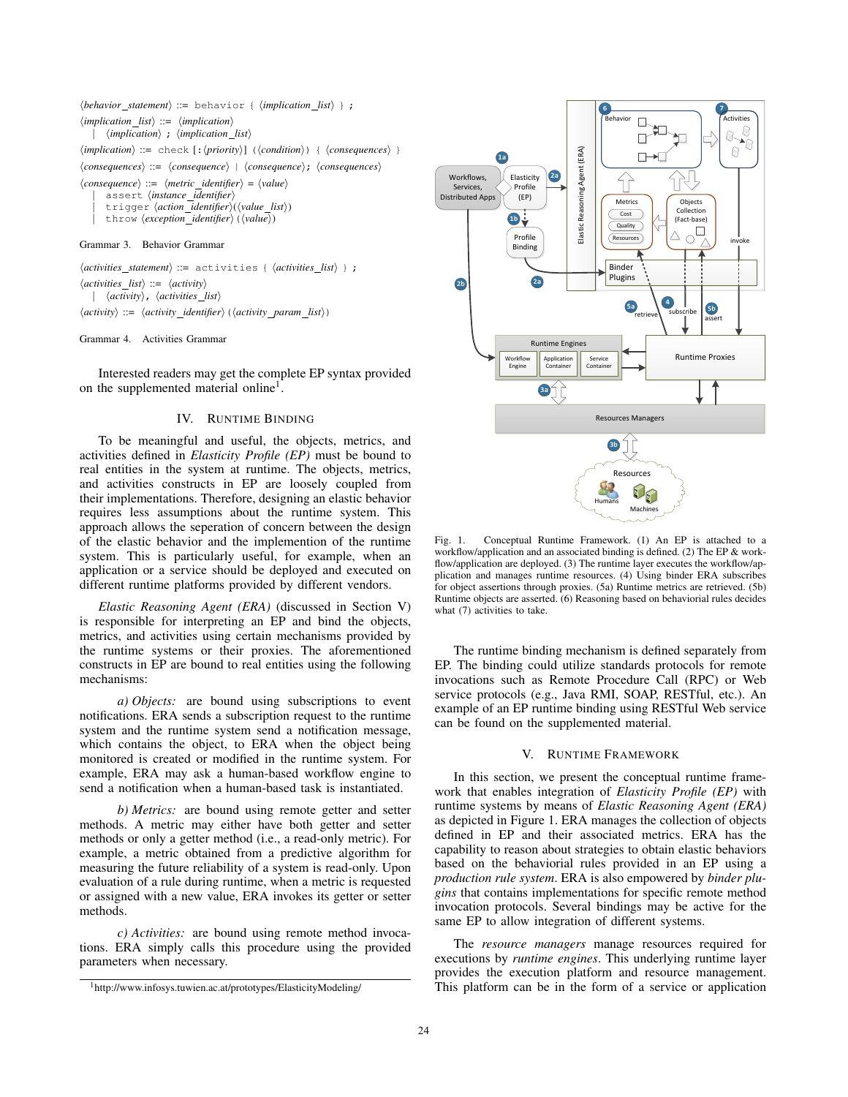```
-
behavior statement ::= behavior { -
implication list } ;
\langle implication\_list \rangle ::= \langle implication \rangle| \langleimplication\rangle ; \langleimplication_list\rangle\langle implication \rangle ::= \text{check} [\mathpunct{:}\langle priority \rangle] \ (\langle condition \rangle) \ {\langle} \ \langle consequence \rangle \ \}-
consequences ::= -
consequence | -
consequence; -
consequences
\langle consequence \rangle ::= \langle metric\_identity \rangle = \langle value \rangle| assert (instance_identifier)
    | trigger (action_identifier)((value_list))
    | throw \exception_identifier) (\value))
Grammar 3. Behavior Grammar
```
-*activities statement* ::= activities { -*activities list* } ;  $\langle$ *activities\_list* $\rangle ::= \langle$ *activity* $\rangle$ |  $\langle$ *activity* $\rangle$ ,  $\langle$ *activities \_list* $\rangle$ -*activity* ::= -*activity identifier*(-*activity param list*)

Grammar 4. Activities Grammar

Interested readers may get the complete EP syntax provided on the supplemented material online<sup>1</sup>.

## IV. RUNTIME BINDING

To be meaningful and useful, the objects, metrics, and activities defined in *Elasticity Profile (EP)* must be bound to real entities in the system at runtime. The objects, metrics, and activities constructs in EP are loosely coupled from their implementations. Therefore, designing an elastic behavior requires less assumptions about the runtime system. This approach allows the seperation of concern between the design of the elastic behavior and the implemention of the runtime system. This is particularly useful, for example, when an application or a service should be deployed and executed on different runtime platforms provided by different vendors.

*Elastic Reasoning Agent (ERA)* (discussed in Section V) is responsible for interpreting an EP and bind the objects, metrics, and activities using certain mechanisms provided by the runtime systems or their proxies. The aforementioned constructs in EP are bound to real entities using the following mechanisms:

*a) Objects:* are bound using subscriptions to event notifications. ERA sends a subscription request to the runtime system and the runtime system send a notification message, which contains the object, to ERA when the object being monitored is created or modified in the runtime system. For example, ERA may ask a human-based workflow engine to send a notification when a human-based task is instantiated.

*b) Metrics:* are bound using remote getter and setter methods. A metric may either have both getter and setter methods or only a getter method (i.e., a read-only metric). For example, a metric obtained from a predictive algorithm for measuring the future reliability of a system is read-only. Upon evaluation of a rule during runtime, when a metric is requested or assigned with a new value, ERA invokes its getter or setter methods.

*c) Activities:* are bound using remote method invocations. ERA simply calls this procedure using the provided parameters when necessary.



Fig. 1. Conceptual Runtime Framework. (1) An EP is attached to a workflow/application and an associated binding is defined. (2) The EP & workflow/application are deployed. (3) The runtime layer executes the workflow/application and manages runtime resources. (4) Using binder ERA subscribes for object assertions through proxies. (5a) Runtime metrics are retrieved. (5b) Runtime objects are asserted. (6) Reasoning based on behaviorial rules decides what (7) activities to take.

The runtime binding mechanism is defined separately from EP. The binding could utilize standards protocols for remote invocations such as Remote Procedure Call (RPC) or Web service protocols (e.g., Java RMI, SOAP, RESTful, etc.). An example of an EP runtime binding using RESTful Web service can be found on the supplemented material.

### V. RUNTIME FRAMEWORK

In this section, we present the conceptual runtime framework that enables integration of *Elasticity Profile (EP)* with runtime systems by means of *Elastic Reasoning Agent (ERA)* as depicted in Figure 1. ERA manages the collection of objects defined in EP and their associated metrics. ERA has the capability to reason about strategies to obtain elastic behaviors based on the behaviorial rules provided in an EP using a *production rule system*. ERA is also empowered by *binder plugins* that contains implementations for specific remote method invocation protocols. Several bindings may be active for the same EP to allow integration of different systems.

The *resource managers* manage resources required for executions by *runtime engines*. This underlying runtime layer provides the execution platform and resource management. This platform can be in the form of a service or application

<sup>&</sup>lt;sup>1</sup>http://www.infosys.tuwien.ac.at/prototypes/ElasticityModeling/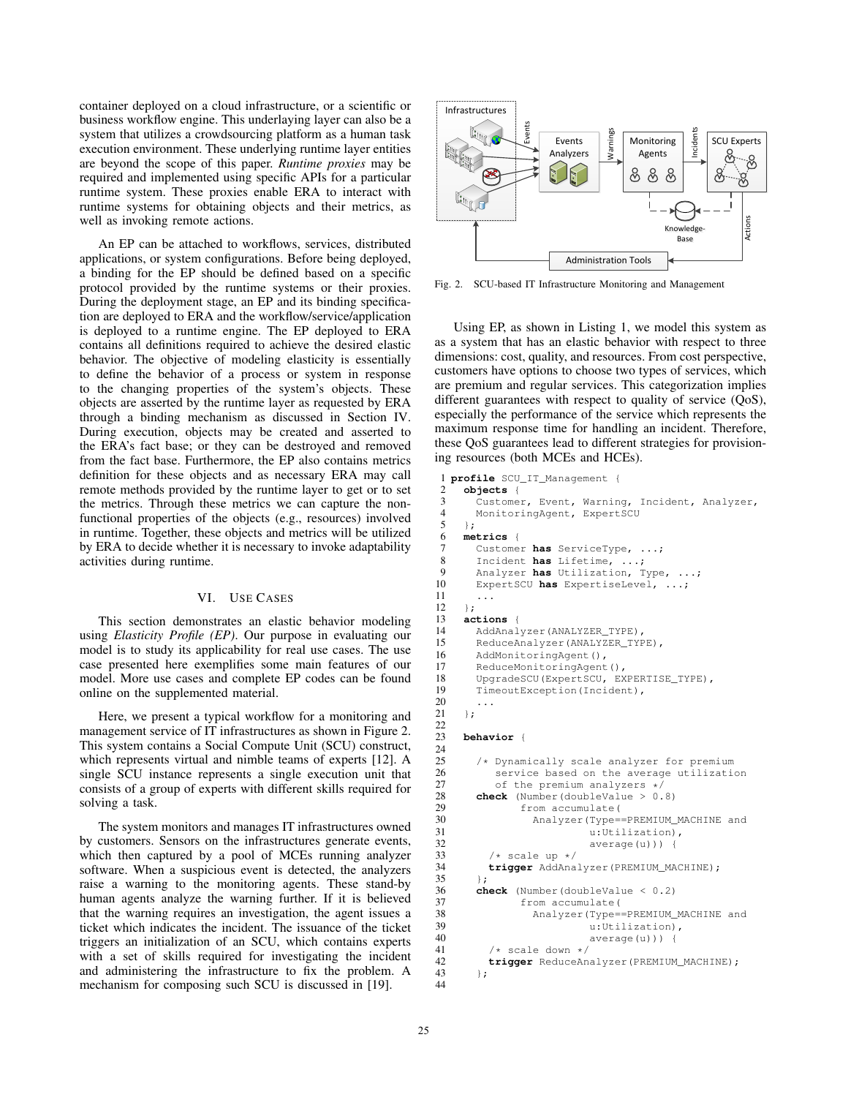container deployed on a cloud infrastructure, or a scientific or business workflow engine. This underlaying layer can also be a system that utilizes a crowdsourcing platform as a human task execution environment. These underlying runtime layer entities are beyond the scope of this paper. *Runtime proxies* may be required and implemented using specific APIs for a particular runtime system. These proxies enable ERA to interact with runtime systems for obtaining objects and their metrics, as well as invoking remote actions.

An EP can be attached to workflows, services, distributed applications, or system configurations. Before being deployed, a binding for the EP should be defined based on a specific protocol provided by the runtime systems or their proxies. During the deployment stage, an EP and its binding specification are deployed to ERA and the workflow/service/application is deployed to a runtime engine. The EP deployed to ERA contains all definitions required to achieve the desired elastic behavior. The objective of modeling elasticity is essentially to define the behavior of a process or system in response to the changing properties of the system's objects. These objects are asserted by the runtime layer as requested by ERA through a binding mechanism as discussed in Section IV. During execution, objects may be created and asserted to the ERA's fact base; or they can be destroyed and removed from the fact base. Furthermore, the EP also contains metrics definition for these objects and as necessary ERA may call remote methods provided by the runtime layer to get or to set the metrics. Through these metrics we can capture the nonfunctional properties of the objects (e.g., resources) involved in runtime. Together, these objects and metrics will be utilized by ERA to decide whether it is necessary to invoke adaptability activities during runtime.

## VI. USE CASES

This section demonstrates an elastic behavior modeling using *Elasticity Profile (EP)*. Our purpose in evaluating our model is to study its applicability for real use cases. The use case presented here exemplifies some main features of our model. More use cases and complete EP codes can be found online on the supplemented material.

Here, we present a typical workflow for a monitoring and management service of IT infrastructures as shown in Figure 2. This system contains a Social Compute Unit (SCU) construct, which represents virtual and nimble teams of experts [12]. A single SCU instance represents a single execution unit that consists of a group of experts with different skills required for solving a task.

The system monitors and manages IT infrastructures owned by customers. Sensors on the infrastructures generate events, which then captured by a pool of MCEs running analyzer software. When a suspicious event is detected, the analyzers raise a warning to the monitoring agents. These stand-by human agents analyze the warning further. If it is believed that the warning requires an investigation, the agent issues a ticket which indicates the incident. The issuance of the ticket triggers an initialization of an SCU, which contains experts with a set of skills required for investigating the incident and administering the infrastructure to fix the problem. A mechanism for composing such SCU is discussed in [19].



Fig. 2. SCU-based IT Infrastructure Monitoring and Management

Using EP, as shown in Listing 1, we model this system as as a system that has an elastic behavior with respect to three dimensions: cost, quality, and resources. From cost perspective, customers have options to choose two types of services, which are premium and regular services. This categorization implies different guarantees with respect to quality of service (QoS), especially the performance of the service which represents the maximum response time for handling an incident. Therefore, these QoS guarantees lead to different strategies for provisioning resources (both MCEs and HCEs).

```
1 profile SCU_IT_Management {
 2 objects {
 3 Customer, Event, Warning, Incident, Analyzer,<br>4 MonitoringAgent, ExpertSCU
 4 MonitoringAgent, ExpertSCU<br>5 ;5 };
 6 metrics {
 7 Customer has ServiceType, ...;<br>8 Incident has Lifetime....:
 8 Incident has Lifetime, ...;<br>9 Analyzer has Utilization. T
9 Analyzer has Utilization, Type, ...;<br>10 ExpertSCU has ExpertiseLevel, ...;
10 ExpertSCU has ExpertiseLevel, ...;
\begin{array}{ccc} 11 & & \dots \\ 12 & & \n\end{array}\} ;
13 actions {
14 AddAnalyzer(ANALYZER_TYPE),<br>15 ReduceAnalyzer(ANALYZER TYP
          15 ReduceAnalyzer(ANALYZER_TYPE),
16 AddMonitoringAgent(),<br>17 ReduceMonitoringAgent
17 ReduceMonitoringAgent(),<br>18 IngradeSCU(ExpertSCU E)
          18 UpgradeSCU(ExpertSCU, EXPERTISE_TYPE),
19 TimeoutException(Incident),
\begin{array}{c} 20 \\ 21 \end{array} :
21 };
rac{22}{23}behavior {
\frac{24}{25}25 /* Dynamically scale analyzer for premium<br>26 service based on the average utilization
26 service based on the average utilization<br>27 of the premium analyzers \star/27 of the premium analyzers \star/<br>28 check (Number (doubleValue > 0.
28 check (Number(doubleValue > 0.8)<br>29 from accumulate(
29 from accumulate(<br>30 Analyzer(Type==
```

```
30 Analyzer(Type==PREMIUM_MACHINE and<br>31 U:IItilization).
31 u:Utilization),<br>32 average (u))), \frac{1}{2}32 average(u))) {<br>33 /* scale up */
33 /* scale up */<br>34 trigger AddAna
        34 trigger AddAnalyzer(PREMIUM_MACHINE);
36 check (Number(doubleValue < 0.2)<br>37 from accumulate (
37 from accumulate(<br>38 Analyzer(Type==
                   38 Analyzer(Type==PREMIUM_MACHINE and
39 u:Utilization,<br>40 \arctan(u) average(u))) {
40 average(u))) {<br>41 /* scale down */
41 /* scale down */<br>42 trigger ReduceAn
42 trigger ReduceAnalyzer(PREMIUM_MACHINE);
        \frac{1}{2}:
```
35 };

44